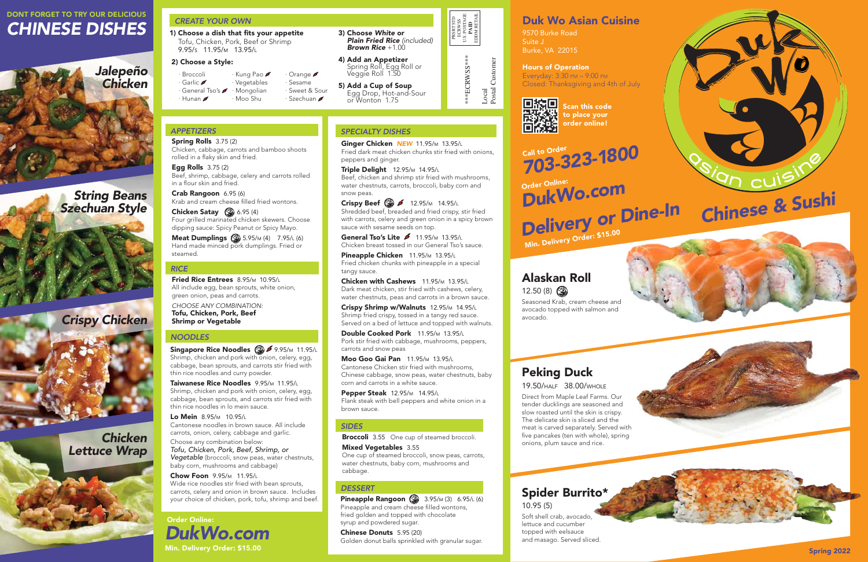# DONT FORGET TO TRY OUR DELICIOUS *CHINESE DISHES*

*String Beans Szechuan Style*





*Chicken Lettuce Wrap*

# Duk Wo Asian Cuisine

9570 Burke Road Suite J Burke, VA 22015

#### Hours of Operation

Everyday: 3:30 pm – 9:00 pm Closed: Thanksgiving and 4th of July



Spring 2022





Order Online: *DukWo.com Delivery or Dine-In* Min. Delivery Order: \$15.00

**Triple Delight** 12.95/m 14.95/L Beef, chicken and shrimp stir fried with mushrooms, water chestnuts, carrots, broccoli, baby corn and snow peas.

Call to Order *703-323-1800*

Scan this code to place your order online!

Crispy Beef  $\circled{3}$   $\circ$  12.95/m 14.95/L Shredded beef, breaded and fried crispy, stir fried with carrots, celery and green onion in a spicy brown sauce with sesame seeds on top.

## *SPECIALTY DISHES*

General Tso's Lite  $\blacktriangleright$  11.95/m 13.95/L Chicken breast tossed in our General Tso's sauce.

Ginger Chicken *NEW* 11.95/m 13.95/<sup>l</sup> Fried dark meat chicken chunks stir fried with onions, peppers and ginger.

Pineapple Chicken 11.95/m 13.95/L Fried chicken chunks with pineapple in a special tangy sauce.

Double Cooked Pork 11.95/m 13.95/L Pork stir fried with cabbage, mushrooms, peppers, carrots and snow peas

**Broccoli** 3.55 One cup of steamed broccoli. Mixed Vegetables 3.55

**Pineapple Rangoon** 3.95/m (3)  $6.95/L$  (6) Pineapple and cream cheese filled wontons, fried golden and topped with chocolate syrup and powdered sugar.

Chicken with Cashews 11.95/m 13.95/<sup>l</sup> Dark meat chicken, stir fried with cashews, celery, water chestnuts, peas and carrots in a brown sauce.

**Chicken Satay**  $\bigcirc$  6.95 (4) Four grilled marinated chicken skewers. Choose dipping sauce: Spicy Peanut or Spicy Mayo.

> Crispy Shrimp w/Walnuts 12.95/m 14.95/<sup>l</sup> Shrimp fried crispy, tossed in a tangy red sauce. Served on a bed of lettuce and topped with walnuts.

**Meat Dumplings**  $\circled{s}$  5.95/m (4) 7.95/L (6) Hand made minced pork dumplings. Fried or steamed.

Fried Rice Entrees 8.95/m 10.95/L All include egg, bean sprouts, white onion, green onion, peas and carrots.

Singapore Rice Noodles 3 5 9.95/m 11.95/L Shrimp, chicken and pork with onion, celery, egg, cabbage, bean sprouts, and carrots stir fried with thin rice noodles and curry powder.

Moo Goo Gai Pan 11.95/m 13.95/<sup>l</sup> Cantonese Chicken stir fried with mushrooms, Chinese cabbage, snow peas, water chestnuts, baby corn and carrots in a white sauce.

Taiwanese Rice Noodles 9.95/m 11.95/L Shrimp, chicken and pork with onion, celery, egg, cabbage, bean sprouts, and carrots stir fried with thin rice noodles in lo mein sauce.

Pepper Steak 12.95/m 14.95/<sup>l</sup> Flank steak with bell peppers and white onion in a brown sauce.

#### *SIDES*

Local<br>Postal Customer Postal Customer

One cup of steamed broccoli, snow peas, carrots, water chestnuts, baby corn, mushrooms and cabbage.

## *DESSERT*

Chinese Donuts 5.95 (20) Golden donut balls sprinkled with granular sugar.

# *APPETIZERS*

Spring Rolls 3.75 (2) Chicken, cabbage, carrots and bamboo shoots rolled in a flaky skin and fried.

# Alaskan Roll  $12.50(8)$

Egg Rolls 3.75 (2) Beef, shrimp, cabbage, celery and carrots rolled in a flour skin and fried.

Crab Rangoon 6.95 (6) Krab and cream cheese filled fried wontons.

## *RICE*

*CHOOSE ANY COMBINATION:* Tofu, Chicken, Pork, Beef Shrimp or Vegetable

## *NOODLES*

Lo Mein 8.95/m 10.95/<sup>l</sup> Cantonese noodles in brown sauce. All include carrots, onion, celery, cabbage and garlic.

Choose any combination below: *Tofu, Chicken, Pork, Beef, Shrimp, or Vegetable* (broccoli, snow peas, water chestnuts, baby corn, mushrooms and cabbage)

Chow Foon 9.95/m 11.95/<sup>l</sup> Wide rice noodles stir fried with bean sprouts, carrots, celery and onion in brown sauce. Includes your choice of chicken, pork, tofu, shrimp and beef. PRSRT STD ECRWSS U.S. POSTAGE **PAID** EDDM RETAIL

\*\*\*ECRWSS\*\*\*

\*ECRWSS\*\*\*

1) Choose a dish that fits your appetite Tofu, Chicken, Pork, Beef or Shrimp 9.95/s 11.95/m 13.95/<sup>l</sup>

### 2) Choose a Style:

3) Choose *White* or *Plain Fried Rice (included) Brown Rice* +1.00

4) Add an Appetizer Spring Roll, Egg Roll or Veggie Roll 1.50

5) Add a Cup of Soup Egg Drop, Hot-and-Sour or Wonton 1.75

# *CREATE YOUR OWN*

| · Kung Pao                                                    | $\cdot$ Orange $\blacktriangleright$   |
|---------------------------------------------------------------|----------------------------------------|
|                                                               | · Sesame                               |
| $\cdot$ General Tso's $\blacktriangleright$ $\cdot$ Mongolian | · Sweet & Sour                         |
| · Moo Shu                                                     | $\cdot$ Szechuan $\blacktriangleright$ |
|                                                               | · Vegetables                           |

Order Online: *DukWo.com* Min. Delivery Order: \$15.00

# Peking Duck

19.50/half 38.00/whole

Direct from Maple Leaf Farms. Our tender ducklings are seasoned and slow roasted until the skin is crispy. The delicate skin is sliced and the meat is carved separately. Served with five pancakes (ten with whole), spring onions, plum sauce and rice.

Seasoned Krab, cream cheese and avocado topped with salmon and

avocado.

# Spider Burrito\* 10.95 (5)

Soft shell crab, avocado, lettuce and cucumber topped with eelsauce and masago. Served sliced.